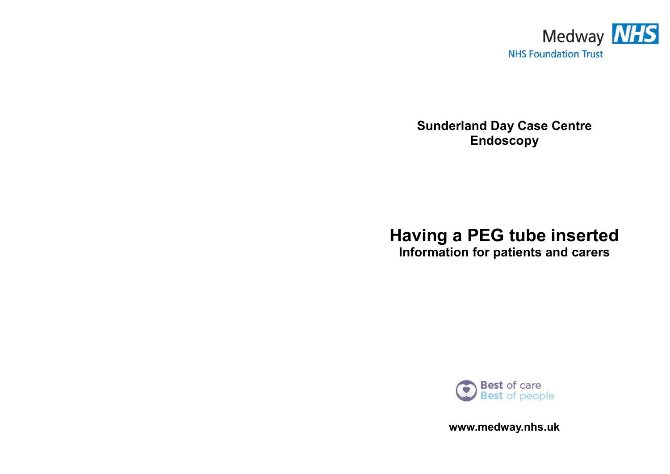

**Sunderland Day Case Centre Endoscopy** 

# **Having a PEG tube inserted**

**Information for patients and carers**



**www.medway.nhs.uk**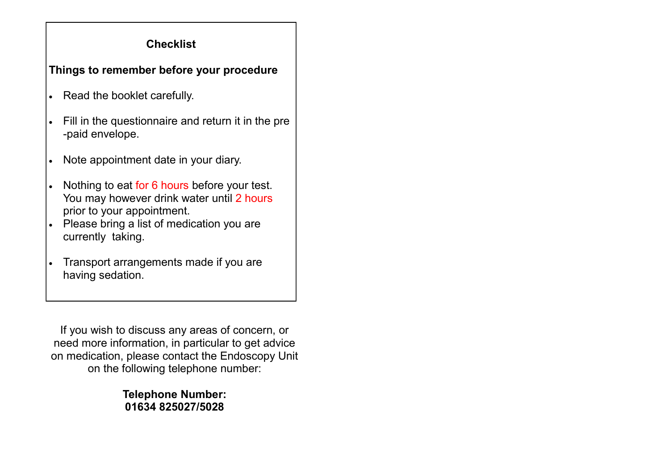# **Checklist**

# **Things to remember before your procedure**

- Read the booklet carefully.
- Fill in the questionnaire and return it in the pre -paid envelope.
- Note appointment date in your diary.
- Nothing to eat for 6 hours before your test. You may however drink water until 2 hours prior to your appointment.
- Please bring a list of medication you are currently taking.
- Transport arrangements made if you are having sedation.

If you wish to discuss any areas of concern, or need more information, in particular to get advice on medication, please contact the Endoscopy Unit on the following telephone number:

> **Telephone Number: 01634 825027/5028**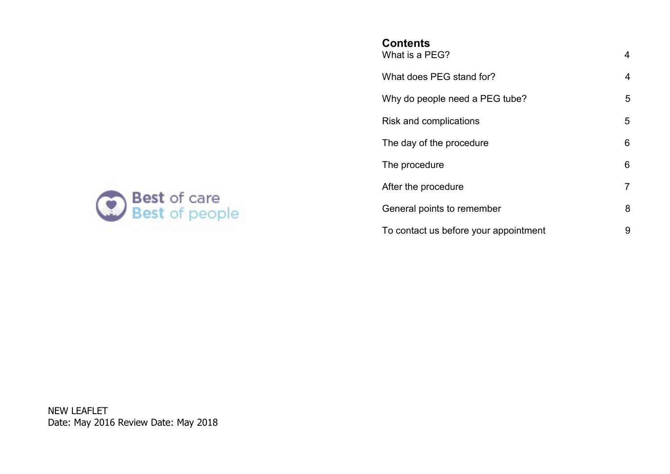

# **Contents**

| What is a PEG?                        | 4 |
|---------------------------------------|---|
| What does PEG stand for?              | 4 |
| Why do people need a PEG tube?        | 5 |
| Risk and complications                | 5 |
| The day of the procedure              | 6 |
| The procedure                         | 6 |
| After the procedure                   | 7 |
| General points to remember            | 8 |
| To contact us before your appointment | 9 |

NEW LEAFLET Date: May 2016 Review Date: May 2018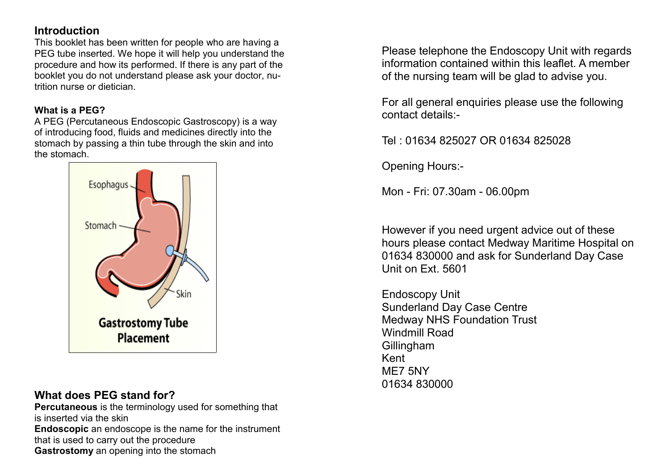# **Introduction**

This booklet has been written for people who are having a PEG tube inserted. We hope it will help you understand the procedure and how its performed. If there is any part of the booklet you do not understand please ask your doctor, nutrition nurse or dietician.

#### **What is a PEG?**

A PEG (Percutaneous Endoscopic Gastroscopy) is a way of introducing food, fluids and medicines directly into the stomach by passing a thin tube through the skin and into the stomach.



## **What does PEG stand for?**

**Percutaneous** is the terminology used for something that is inserted via the skin **Endoscopic** an endoscope is the name for the instrument that is used to carry out the procedure **Gastrostomy** an opening into the stomach

Please telephone the Endoscopy Unit with regards information contained within this leaflet. A member of the nursing team will be glad to advise you.

For all general enquiries please use the following contact details:-

Tel : 01634 825027 OR 01634 825028

Opening Hours:-

Mon - Fri: 07.30am - 06.00pm

However if you need urgent advice out of these hours please contact Medway Maritime Hospital on 01634 830000 and ask for Sunderland Day Case Unit on Ext. 5601

Endoscopy Unit Sunderland Day Case Centre Medway NHS Foundation Trust Windmill Road **Gillingham** Kent ME7 5NY 01634 830000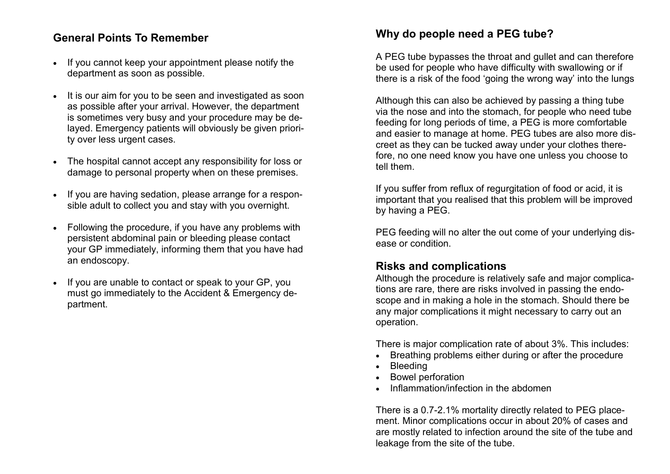## **General Points To Remember**

- If you cannot keep your appointment please notify the department as soon as possible.
- It is our aim for you to be seen and investigated as soon as possible after your arrival. However, the department is sometimes very busy and your procedure may be delayed. Emergency patients will obviously be given priority over less urgent cases.
- The hospital cannot accept any responsibility for loss or damage to personal property when on these premises.
- If you are having sedation, please arrange for a responsible adult to collect you and stay with you overnight.
- Following the procedure, if you have any problems with persistent abdominal pain or bleeding please contact your GP immediately, informing them that you have had an endoscopy.
- If you are unable to contact or speak to your GP, you must go immediately to the Accident & Emergency department.

## **Why do people need a PEG tube?**

A PEG tube bypasses the throat and gullet and can therefore be used for people who have difficulty with swallowing or if there is a risk of the food 'going the wrong way' into the lungs

Although this can also be achieved by passing a thing tube via the nose and into the stomach, for people who need tube feeding for long periods of time, a PEG is more comfortable and easier to manage at home. PEG tubes are also more discreet as they can be tucked away under your clothes therefore, no one need know you have one unless you choose to tell them.

If you suffer from reflux of regurgitation of food or acid, it is important that you realised that this problem will be improved by having a PEG.

PEG feeding will no alter the out come of your underlying disease or condition.

#### **Risks and complications**

Although the procedure is relatively safe and major complications are rare, there are risks involved in passing the endoscope and in making a hole in the stomach. Should there be any major complications it might necessary to carry out an operation.

There is major complication rate of about 3%. This includes:

- Breathing problems either during or after the procedure
- Bleeding
- Bowel perforation
- Inflammation/infection in the abdomen

There is a 0.7-2.1% mortality directly related to PEG placement. Minor complications occur in about 20% of cases and are mostly related to infection around the site of the tube and leakage from the site of the tube.